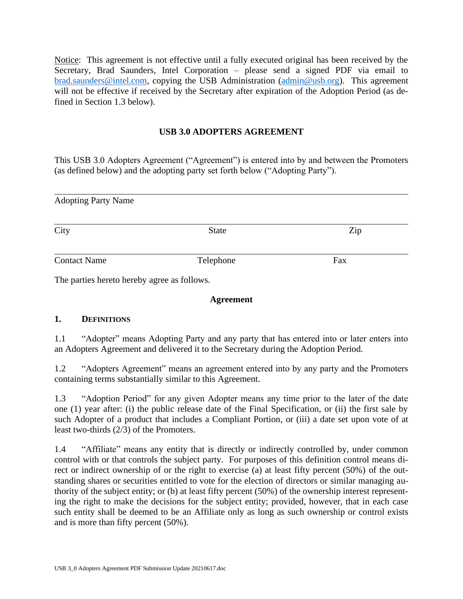Notice:This agreement is not effective until a fully executed original has been received by the Secretary, Brad Saunders, Intel Corporation – please send a signed PDF via email to [brad.saunders@intel.com,](mailto:brad.saunders@intel.com) copying the USB Administration [\(admin@usb.org\)](mailto:admin@usb.org). This agreement will not be effective if received by the Secretary after expiration of the Adoption Period (as defined in Section 1.3 below).

## **USB 3.0 ADOPTERS AGREEMENT**

This USB 3.0 Adopters Agreement ("Agreement") is entered into by and between the Promoters (as defined below) and the adopting party set forth below ("Adopting Party").

| <b>Adopting Party Name</b> |              |     |  |
|----------------------------|--------------|-----|--|
| City                       | <b>State</b> | Zip |  |
| <b>Contact Name</b>        | Telephone    | Fax |  |
| T <sub>1</sub>             | $C_{11}$     |     |  |

The parties hereto hereby agree as follows.

#### **Agreement**

## **1. DEFINITIONS**

1.1 "Adopter" means Adopting Party and any party that has entered into or later enters into an Adopters Agreement and delivered it to the Secretary during the Adoption Period.

1.2 "Adopters Agreement" means an agreement entered into by any party and the Promoters containing terms substantially similar to this Agreement.

1.3 "Adoption Period" for any given Adopter means any time prior to the later of the date one (1) year after: (i) the public release date of the Final Specification, or (ii) the first sale by such Adopter of a product that includes a Compliant Portion, or (iii) a date set upon vote of at least two-thirds (2/3) of the Promoters.

1.4 "Affiliate" means any entity that is directly or indirectly controlled by, under common control with or that controls the subject party. For purposes of this definition control means direct or indirect ownership of or the right to exercise (a) at least fifty percent (50%) of the outstanding shares or securities entitled to vote for the election of directors or similar managing authority of the subject entity; or (b) at least fifty percent (50%) of the ownership interest representing the right to make the decisions for the subject entity; provided, however, that in each case such entity shall be deemed to be an Affiliate only as long as such ownership or control exists and is more than fifty percent (50%).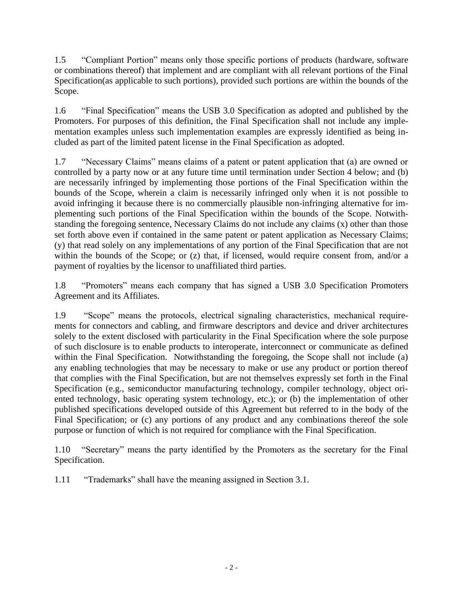1.5 "Compliant Portion" means only those specific portions of products (hardware, software or combinations thereof) that implement and are compliant with all relevant portions of the Final Specification(as applicable to such portions), provided such portions are within the bounds of the Scope.

1.6 "Final Specification" means the USB 3.0 Specification as adopted and published by the Promoters. For purposes of this definition, the Final Specification shall not include any implementation examples unless such implementation examples are expressly identified as being included as part of the limited patent license in the Final Specification as adopted.

1.7 "Necessary Claims" means claims of a patent or patent application that (a) are owned or controlled by a party now or at any future time until termination under Section 4 below; and (b) are necessarily infringed by implementing those portions of the Final Specification within the bounds of the Scope, wherein a claim is necessarily infringed only when it is not possible to avoid infringing it because there is no commercially plausible non-infringing alternative for implementing such portions of the Final Specification within the bounds of the Scope. Notwithstanding the foregoing sentence, Necessary Claims do not include any claims (x) other than those set forth above even if contained in the same patent or patent application as Necessary Claims; (y) that read solely on any implementations of any portion of the Final Specification that are not within the bounds of the Scope; or (z) that, if licensed, would require consent from, and/or a payment of royalties by the licensor to unaffiliated third parties.

1.8 "Promoters" means each company that has signed a USB 3.0 Specification Promoters Agreement and its Affiliates.

1.9 "Scope" means the protocols, electrical signaling characteristics, mechanical requirements for connectors and cabling, and firmware descriptors and device and driver architectures solely to the extent disclosed with particularity in the Final Specification where the sole purpose of such disclosure is to enable products to interoperate, interconnect or communicate as defined within the Final Specification. Notwithstanding the foregoing, the Scope shall not include (a) any enabling technologies that may be necessary to make or use any product or portion thereof that complies with the Final Specification, but are not themselves expressly set forth in the Final Specification (e.g., semiconductor manufacturing technology, compiler technology, object oriented technology, basic operating system technology, etc.); or (b) the implementation of other published specifications developed outside of this Agreement but referred to in the body of the Final Specification; or (c) any portions of any product and any combinations thereof the sole purpose or function of which is not required for compliance with the Final Specification.

1.10 "Secretary" means the party identified by the Promoters as the secretary for the Final Specification.

1.11 "Trademarks" shall have the meaning assigned in Section [3.1.](#page-2-0)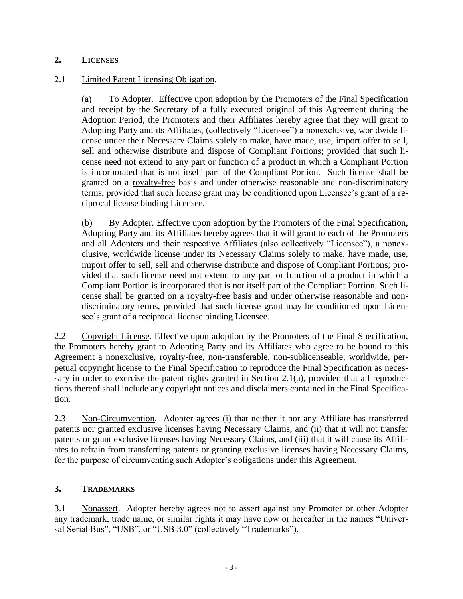## **2. LICENSES**

## <span id="page-2-1"></span>2.1 Limited Patent Licensing Obligation.

(a) To Adopter. Effective upon adoption by the Promoters of the Final Specification and receipt by the Secretary of a fully executed original of this Agreement during the Adoption Period, the Promoters and their Affiliates hereby agree that they will grant to Adopting Party and its Affiliates, (collectively "Licensee") a nonexclusive, worldwide license under their Necessary Claims solely to make, have made, use, import offer to sell, sell and otherwise distribute and dispose of Compliant Portions; provided that such license need not extend to any part or function of a product in which a Compliant Portion is incorporated that is not itself part of the Compliant Portion. Such license shall be granted on a royalty-free basis and under otherwise reasonable and non-discriminatory terms, provided that such license grant may be conditioned upon Licensee's grant of a reciprocal license binding Licensee.

(b) By Adopter. Effective upon adoption by the Promoters of the Final Specification, Adopting Party and its Affiliates hereby agrees that it will grant to each of the Promoters and all Adopters and their respective Affiliates (also collectively "Licensee"), a nonexclusive, worldwide license under its Necessary Claims solely to make, have made, use, import offer to sell, sell and otherwise distribute and dispose of Compliant Portions; provided that such license need not extend to any part or function of a product in which a Compliant Portion is incorporated that is not itself part of the Compliant Portion. Such license shall be granted on a royalty-free basis and under otherwise reasonable and nondiscriminatory terms, provided that such license grant may be conditioned upon Licensee's grant of a reciprocal license binding Licensee.

2.2 Copyright License. Effective upon adoption by the Promoters of the Final Specification, the Promoters hereby grant to Adopting Party and its Affiliates who agree to be bound to this Agreement a nonexclusive, royalty-free, non-transferable, non-sublicenseable, worldwide, perpetual copyright license to the Final Specification to reproduce the Final Specification as neces-sary in order to exercise the patent rights granted in Section [2.1\(a\),](#page-2-1) provided that all reproductions thereof shall include any copyright notices and disclaimers contained in the Final Specification.

2.3 Non-Circumvention. Adopter agrees (i) that neither it nor any Affiliate has transferred patents nor granted exclusive licenses having Necessary Claims, and (ii) that it will not transfer patents or grant exclusive licenses having Necessary Claims, and (iii) that it will cause its Affiliates to refrain from transferring patents or granting exclusive licenses having Necessary Claims, for the purpose of circumventing such Adopter's obligations under this Agreement.

## **3. TRADEMARKS**

<span id="page-2-0"></span>3.1 Nonassert. Adopter hereby agrees not to assert against any Promoter or other Adopter any trademark, trade name, or similar rights it may have now or hereafter in the names "Universal Serial Bus", "USB", or "USB 3.0" (collectively "Trademarks").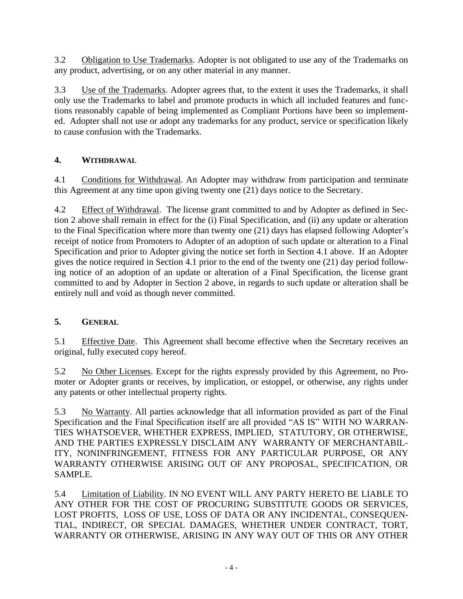3.2 Obligation to Use Trademarks. Adopter is not obligated to use any of the Trademarks on any product, advertising, or on any other material in any manner.

3.3 Use of the Trademarks. Adopter agrees that, to the extent it uses the Trademarks, it shall only use the Trademarks to label and promote products in which all included features and functions reasonably capable of being implemented as Compliant Portions have been so implemented. Adopter shall not use or adopt any trademarks for any product, service or specification likely to cause confusion with the Trademarks.

# **4. WITHDRAWAL**

4.1 Conditions for Withdrawal. An Adopter may withdraw from participation and terminate this Agreement at any time upon giving twenty one (21) days notice to the Secretary.

4.2 Effect of Withdrawal. The license grant committed to and by Adopter as defined in Section 2 above shall remain in effect for the (i) Final Specification, and (ii) any update or alteration to the Final Specification where more than twenty one (21) days has elapsed following Adopter's receipt of notice from Promoters to Adopter of an adoption of such update or alteration to a Final Specification and prior to Adopter giving the notice set forth in Section 4.1 above. If an Adopter gives the notice required in Section 4.1 prior to the end of the twenty one (21) day period following notice of an adoption of an update or alteration of a Final Specification, the license grant committed to and by Adopter in Section 2 above, in regards to such update or alteration shall be entirely null and void as though never committed.

## **5. GENERAL**

5.1 Effective Date. This Agreement shall become effective when the Secretary receives an original, fully executed copy hereof.

5.2 No Other Licenses. Except for the rights expressly provided by this Agreement, no Promoter or Adopter grants or receives, by implication, or estoppel, or otherwise, any rights under any patents or other intellectual property rights.

5.3 No Warranty. All parties acknowledge that all information provided as part of the Final Specification and the Final Specification itself are all provided "AS IS" WITH NO WARRAN-TIES WHATSOEVER, WHETHER EXPRESS, IMPLIED, STATUTORY, OR OTHERWISE, AND THE PARTIES EXPRESSLY DISCLAIM ANY WARRANTY OF MERCHANTABIL-ITY, NONINFRINGEMENT, FITNESS FOR ANY PARTICULAR PURPOSE, OR ANY WARRANTY OTHERWISE ARISING OUT OF ANY PROPOSAL, SPECIFICATION, OR SAMPLE.

5.4 Limitation of Liability. IN NO EVENT WILL ANY PARTY HERETO BE LIABLE TO ANY OTHER FOR THE COST OF PROCURING SUBSTITUTE GOODS OR SERVICES, LOST PROFITS, LOSS OF USE, LOSS OF DATA OR ANY INCIDENTAL, CONSEQUEN-TIAL, INDIRECT, OR SPECIAL DAMAGES, WHETHER UNDER CONTRACT, TORT, WARRANTY OR OTHERWISE, ARISING IN ANY WAY OUT OF THIS OR ANY OTHER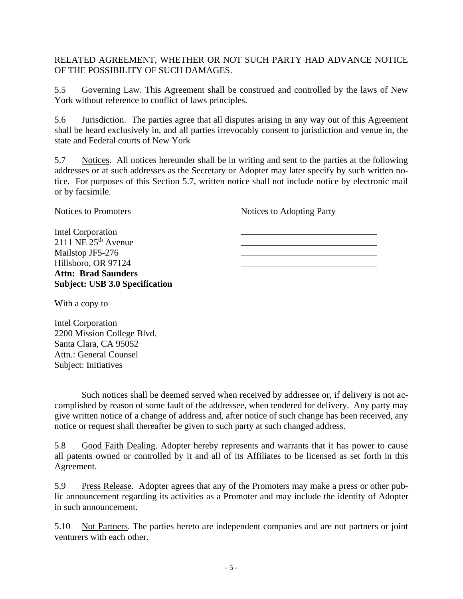RELATED AGREEMENT, WHETHER OR NOT SUCH PARTY HAD ADVANCE NOTICE OF THE POSSIBILITY OF SUCH DAMAGES.

5.5 Governing Law. This Agreement shall be construed and controlled by the laws of New York without reference to conflict of laws principles.

5.6 Jurisdiction. The parties agree that all disputes arising in any way out of this Agreement shall be heard exclusively in, and all parties irrevocably consent to jurisdiction and venue in, the state and Federal courts of New York

<span id="page-4-0"></span>5.7 Notices. All notices hereunder shall be in writing and sent to the parties at the following addresses or at such addresses as the Secretary or Adopter may later specify by such written notice. For purposes of this Section [5.7,](#page-4-0) written notice shall not include notice by electronic mail or by facsimile.

Notices to Promoters

Notices to Adopting Party

Intel Corporation  $2111$  NE  $25<sup>th</sup>$  Avenue Mailstop JF5-276 Hillsboro, OR 97124 **Attn: Brad Saunders Subject: USB 3.0 Specification**

With a copy to

Intel Corporation 2200 Mission College Blvd. Santa Clara, CA 95052 Attn.: General Counsel Subject: Initiatives

Such notices shall be deemed served when received by addressee or, if delivery is not accomplished by reason of some fault of the addressee, when tendered for delivery. Any party may give written notice of a change of address and, after notice of such change has been received, any notice or request shall thereafter be given to such party at such changed address.

5.8 Good Faith Dealing. Adopter hereby represents and warrants that it has power to cause all patents owned or controlled by it and all of its Affiliates to be licensed as set forth in this Agreement.

5.9 Press Release. Adopter agrees that any of the Promoters may make a press or other public announcement regarding its activities as a Promoter and may include the identity of Adopter in such announcement.

5.10 Not Partners. The parties hereto are independent companies and are not partners or joint venturers with each other.